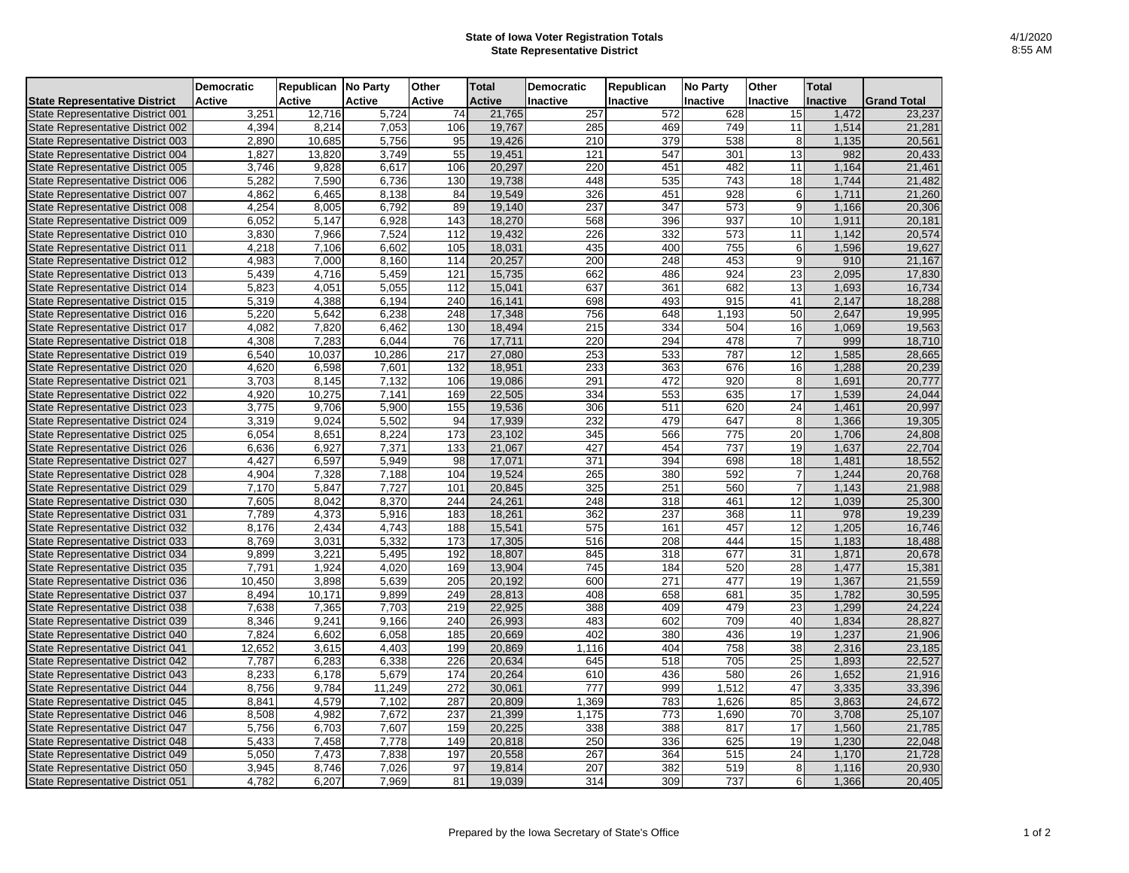## **State of Iowa Voter Registration Totals State Representative District**

|                                      | <b>Democratic</b> | Republican No Party |               | Other            | <b>Total</b>  | <b>Democratic</b> | Republican | <b>No Party</b>  | Other           | <b>Total</b>    |                    |
|--------------------------------------|-------------------|---------------------|---------------|------------------|---------------|-------------------|------------|------------------|-----------------|-----------------|--------------------|
| <b>State Representative District</b> | <b>Active</b>     | Active              | <b>Active</b> | Active           | <b>Active</b> | <b>Inactive</b>   | Inactive   | Inactive         | <b>Inactive</b> | <b>Inactive</b> | <b>Grand Total</b> |
| State Representative District 001    | 3,251             | 12,716              | 5,724         | 74               | 21,765        | 257               | 572        | 628              | 15              | 1,472           | 23,237             |
| State Representative District 002    | 4,394             | 8,214               | 7,053         | 106              | 19,767        | 285               | 469        | 749              | 11              | 1,514           | 21,281             |
| State Representative District 003    | 2.890             | 10,685              | 5,756         | 95               | 19,426        | 210               | 379        | 538              | 8               | 1,135           | 20,561             |
| State Representative District 004    | 1,827             | 13,820              | 3,749         | 55               | 19,451        | 121               | 547        | 301              | 13              | 982             | 20,433             |
| State Representative District 005    | 3,746             | 9,828               | 6,617         | 106              | 20,297        | 220               | 451        | 482              | 11              | 1,164           | 21,461             |
| State Representative District 006    | 5,282             | 7,590               | 6,736         | 130              | 19,738        | 448               | 535        | 743              | 18              | 1,744           | 21,482             |
| State Representative District 007    | 4,862             | 6,465               | 8,138         | 84               | 19,549        | 326               | 451        | 928              | 6               | 1,711           | 21,260             |
| State Representative District 008    | 4,254             | 8,005               | 6,792         | 89               | 19,140        | 237               | 347        | 573              | $\mathbf{q}$    | 1,166           | 20,306             |
| State Representative District 009    | 6,052             | 5,147               | 6,928         | 143              | 18,270        | 568               | 396        | 937              | 10              | 1,911           | 20,181             |
| State Representative District 010    | 3,830             | 7,966               | 7,524         | 112              | 19,432        | 226               | 332        | 573              | 11              | 1,142           | 20,574             |
| State Representative District 011    | 4,218             | 7,106               | 6,602         | 105              | 18,031        | 435               | 400        | 755              | 6               | 1,596           | 19,627             |
| State Representative District 012    | 4,983             | 7,000               | 8,160         | 114              | 20,257        | 200               | 248        | 453              | 9               | 910             | 21,167             |
| State Representative District 013    | 5,439             | 4,716               | 5,459         | 121              | 15,735        | 662               | 486        | 924              | 23              | 2,095           | 17,830             |
| State Representative District 014    | 5,823             | 4,051               | 5,055         | 112              | 15,041        | 637               | 361        | 682              | 13              | 1,693           | 16,734             |
| State Representative District 015    | 5,319             | 4,388               | 6,194         | $\frac{240}{ }$  | 16,141        | 698               | 493        | $\overline{915}$ | 41              | 2,147           | 18,288             |
| State Representative District 016    | 5,220             | 5,642               | 6,238         | 248              | 17,348        | 756               | 648        | 1,193            | 50              | 2,647           | 19,995             |
| State Representative District 017    | 4,082             | 7,820               | 6,462         | 130              | 18,494        | 215               | 334        | 504              | 16              | 1,069           | 19,563             |
| State Representative District 018    | 4,308             | 7,283               | 6,044         | 76               | 17,711        | 220               | 294        | 478              | $\overline{7}$  | 999             | 18,710             |
| State Representative District 019    | 6,540             | 10,037              | 10,286        | 217              | 27,080        | 253               | 533        | 787              | 12              | 1,585           | 28,665             |
| State Representative District 020    | 4,620             | 6,598               | 7,601         | 132              | 18,951        | 233               | 363        | 676              | 16              | 1,288           | 20.239             |
| State Representative District 021    | 3,703             | 8,145               | 7,132         | 106              | 19,086        | 291               | 472        | 920              | 8               | 1,691           | 20,777             |
| State Representative District 022    | 4,920             | 10,275              | 7,141         | 169              | 22,505        | 334               | 553        | 635              | 17              | 1,539           | 24,044             |
| State Representative District 023    | 3.775             | 9.706               | 5,900         | 155              | 19,536        | 306               | 511        | 620              | 24              | 1.461           | 20,997             |
| State Representative District 024    | 3,319             | 9,024               | 5,502         | 94               | 17,939        | 232               | 479        | 647              | 8               | 1,366           | 19,305             |
| State Representative District 025    | 6,054             | 8,651               | 8,224         | 173              | 23,102        | 345               | 566        | 775              | 20              | 1,706           | 24,808             |
| State Representative District 026    | 6,636             | 6.927               | 7,371         | 133              | 21.067        | 427               | 454        | 737              | 19              | 1,637           | 22.704             |
| State Representative District 027    | 4,427             | 6,597               | 5,949         | 98               | 17,071        | 371               | 394        | 698              | 18              | 1,481           | 18,552             |
| State Representative District 028    | 4,904             | 7,328               | 7,188         | 104              | 19,524        | 265               | 380        | 592              | $\overline{7}$  | 1,244           | 20,768             |
| State Representative District 029    | 7,170             | 5,847               | 7,727         | 101              | 20,845        | 325               | 251        | 560              | $\overline{7}$  | 1,143           | 21,988             |
| State Representative District 030    | 7,605             | 8.042               | 8,370         | 244              | 24,261        | 248               | 318        | 461              | 12              | 1,039           | 25,300             |
| State Representative District 031    | 7,789             | 4,373               | 5,916         | 183              | 18,261        | 362               | 237        | 368              | 11              | 978             | 19,239             |
| State Representative District 032    | 8,176             | 2,434               | 4,743         | 188              | 15,541        | 575               | 161        | 457              | 12              | 1.205           | 16,746             |
| State Representative District 033    | 8,769             | 3,031               | 5,332         | 173              | 17,305        | 516               | 208        | 444              | 15              | 1,183           | 18,488             |
| State Representative District 034    | 9,899             | 3,221               | 5,495         | 192              | 18,807        | 845               | 318        | 677              | 31              | 1,871           | 20,678             |
| State Representative District 035    | 7,791             | 1,924               | 4,020         | 169              | 13,904        | 745               | 184        | 520              | 28              | 1,477           | 15,381             |
| State Representative District 036    | 10,450            | 3,898               | 5,639         | 205              | 20,192        | 600               | 271        | 477              | 19              | 1,367           | 21,559             |
| State Representative District 037    | 8,494             | 10,171              | 9,899         | 249              | 28,813        | 408               | 658        | 681              | 35              | 1,782           | 30,595             |
| State Representative District 038    | 7,638             | 7,365               | 7,703         | 219              | 22,925        | 388               | 409        | 479              | 23              | 1.299           | 24.224             |
| State Representative District 039    | 8,346             | 9,241               | 9,166         | 240              | 26,993        | 483               | 602        | 709              | 40              | 1,834           | 28,827             |
| State Representative District 040    | 7,824             | 6,602               | 6,058         | 185              | 20,669        | 402               | 380        | 436              | 19              | 1,237           | 21,906             |
| State Representative District 041    | 12,652            | 3,615               | 4.403         | 199              | 20,869        | 1,116             | 404        | 758              | $\overline{38}$ | 2,316           | 23,185             |
| State Representative District 042    | 7,787             | 6,283               | 6,338         | 226              | 20,634        | 645               | 518        | 705              | 25              | 1,893           | 22,527             |
| State Representative District 043    | 8,233             | 6,178               | 5,679         | 174              | 20,264        | 610               | 436        | 580              | 26              | 1,652           | 21,916             |
| State Representative District 044    | 8,756             | 9.784               | 11,249        | $\overline{272}$ | 30.061        | $\overline{777}$  | 999        | 1,512            | 47              | 3,335           | 33,396             |
| State Representative District 045    | 8,841             | 4,579               | 7,102         | 287              | 20,809        | 1,369             | 783        | 1,626            | 85              | 3,863           | 24,672             |
| State Representative District 046    | 8,508             | 4,982               | 7,672         | 237              | 21,399        | 1,175             | 773        | 1,690            | 70              | 3,708           | 25,107             |
| State Representative District 047    | 5,756             | 6,703               | 7,607         | 159              | 20,225        | 338               | 388        | 817              | $\overline{17}$ | 1,560           | 21,785             |
| State Representative District 048    | 5,433             | 7,458               | 7,778         | 149              | 20,818        | 250               | 336        | 625              | 19              | 1,230           | 22,048             |
| State Representative District 049    | 5,050             | 7,473               | 7,838         | 197              | 20,558        | 267               | 364        | 515              | 24              | 1,170           | 21,728             |
| State Representative District 050    | 3,945             | 8,746               | 7,026         | 97               | 19,814        | 207               | 382        | 519              | 8               | 1,116           | 20,930             |
| State Representative District 051    | 4,782             | 6,207               | 7,969         | 81               | 19,039        | 314               | 309        | 737              | $6 \mid$        | 1,366           | 20,405             |